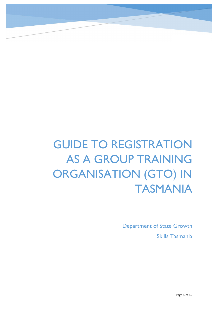# GUIDE TO REGISTRATION AS A GROUP TRAINING ORGANISATION (GTO) IN TASMANIA

Department of State Growth Skills Tasmania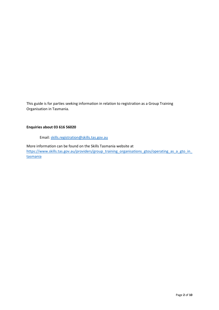This guide is for parties seeking information in relation to registration as a Group Training Organisation in Tasmania.

#### Enquiries about 03 616 56020

Email: skills.registration@skills.tas.gov.au

More information can be found on the Skills Tasmania website at https://www.skills.tas.gov.au/providers/group\_training\_organisations\_gtos/operating\_as\_a\_gto\_in\_ tasmania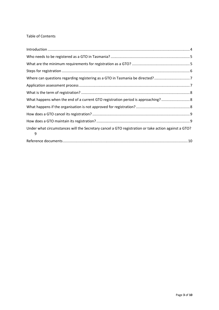#### Table of Contents

| Where can questions regarding registering as a GTO in Tasmania be directed?7                             |  |
|----------------------------------------------------------------------------------------------------------|--|
|                                                                                                          |  |
|                                                                                                          |  |
|                                                                                                          |  |
|                                                                                                          |  |
|                                                                                                          |  |
|                                                                                                          |  |
| Under what circumstances will the Secretary cancel a GTO registration or take action against a GTO?<br>9 |  |
|                                                                                                          |  |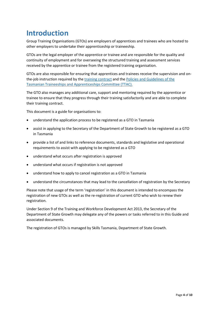# Introduction

Group Training Organisations (GTOs) are employers of apprentices and trainees who are hosted to other employers to undertake their apprenticeship or traineeship.

GTOs are the legal employer of the apprentice or trainee and are responsible for the quality and continuity of employment and for overseeing the structured training and assessment services received by the apprentice or trainee from the registered training organisation.

GTOs are also responsible for ensuring that apprentices and trainees receive the supervision and onthe-job instruction required by the training contract and the Policies and Guidelines of the Tasmanian Traineeships and Apprenticeships Committee (TTAC).

The GTO also manages any additional care, support and mentoring required by the apprentice or trainee to ensure that they progress through their training satisfactorily and are able to complete their training contract.

This document is a guide for organisations to:

- understand the application process to be registered as a GTO in Tasmania
- assist in applying to the Secretary of the Department of State Growth to be registered as a GTO in Tasmania
- provide a list of and links to reference documents, standards and legislative and operational requirements to assist with applying to be registered as a GTO
- understand what occurs after registration is approved
- understand what occurs if registration is not approved
- understand how to apply to cancel registration as a GTO in Tasmania
- understand the circumstances that may lead to the cancellation of registration by the Secretary

Please note that usage of the term 'registration' in this document is intended to encompass the registration of new GTOs as well as the re-registration of current GTO who wish to renew their registration.

Under Section 9 of the Training and Workforce Development Act 2013, the Secretary of the Department of State Growth may delegate any of the powers or tasks referred to in this Guide and associated documents.

The registration of GTOs is managed by Skills Tasmania, Department of State Growth.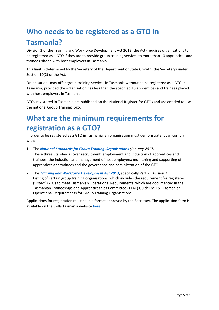# Who needs to be registered as a GTO in Tasmania?

Division 2 of the Training and Workforce Development Act 2013 (the Act) requires organisations to be registered as a GTO if they are to provide group training services to more than 10 apprentices and trainees placed with host employers in Tasmania.

This limit is determined by the Secretary of the Department of State Growth (the Secretary) under Section 10(2) of the Act.

Organisations may offer group training services in Tasmania without being registered as a GTO in Tasmania, provided the organisation has less than the specified 10 apprentices and trainees placed with host employers in Tasmania.

GTOs registered in Tasmania are published on the National Register for GTOs and are entitled to use the national Group Training logo.

# What are the minimum requirements for registration as a GTO?

In order to be registered as a GTO in Tasmania, an organisation must demonstrate it can comply with:

- 1. The National Standards for Group Training Organisations (January 2017) These three Standards cover recruitment, employment and induction of apprentices and trainees; the induction and management of host employers; monitoring and supporting of apprentices and trainees and the governance and administration of the GTO.
- 2. The Training and Workforce Development Act 2013, specifically Part 2, Division 2 Listing of certain group training organisations, which includes the requirement for registered ('listed') GTOs to meet Tasmanian Operational Requirements, which are documented in the Tasmanian Traineeships and Apprenticeships Committee (TTAC) Guideline 15 - Tasmanian Operational Requirements for Group Training Organisations.

Applications for registration must be in a format approved by the Secretary. The application form is available on the Skills Tasmania website here.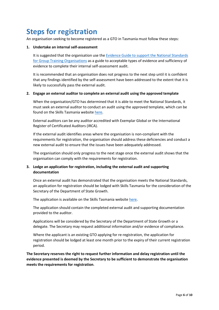# Steps for registration

An organisation seeking to become registered as a GTO in Tasmania must follow these steps:

#### 1. Undertake an internal self-assessment

It is suggested that the organisation use the Evidence Guide to support the National Standards for Group Training Organisations as a guide to acceptable types of evidence and sufficiency of evidence to complete their internal self-assessment audit.

It is recommended that an organisation does not progress to the next step until it is confident that any findings identified by the self-assessment have been addressed to the extent that it is likely to successfully pass the external audit.

#### 2. Engage an external auditor to complete an external audit using the approved template

When the organisation/GTO has determined that it is able to meet the National Standards, it must seek an external auditor to conduct an audit using the approved template, which can be found on the Skills Tasmania website here.

External auditors can be any auditor accredited with Exemplar Global or the International Register of Certificated Auditors (IRCA).

If the external audit identifies areas where the organisation is non-compliant with the requirements for registration, the organisation should address these deficiencies and conduct a new external audit to ensure that the issues have been adequately addressed.

The organisation should only progress to the next stage once the external audit shows that the organisation can comply with the requirements for registration.

#### 3. Lodge an application for registration, including the external audit and supporting documentation

Once an external audit has demonstrated that the organisation meets the National Standards, an application for registration should be lodged with Skills Tasmania for the consideration of the Secretary of the Department of State Growth.

The application is available on the Skills Tasmania website here.

The application should contain the completed external audit and supporting documentation provided to the auditor.

Applications will be considered by the Secretary of the Department of State Growth or a delegate. The Secretary may request additional information and/or evidence of compliance.

Where the applicant is an existing GTO applying for re-registration, the application for registration should be lodged at least one month prior to the expiry of their current registration period.

The Secretary reserves the right to request further information and delay registration until the evidence presented is deemed by the Secretary to be sufficient to demonstrate the organisation meets the requirements for registration.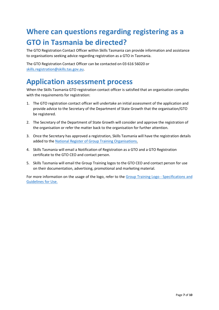# Where can questions regarding registering as a GTO in Tasmania be directed?

The GTO Registration Contact Officer within Skills Tasmania can provide information and assistance to organisations seeking advice regarding registration as a GTO in Tasmania.

The GTO Registration Contact Officer can be contacted on 03 616 56020 or skills.registration@skills.tas.gov.au.

### Application assessment process

When the Skills Tasmania GTO registration contact officer is satisfied that an organisation complies with the requirements for registration:

- 1. The GTO registration contact officer will undertake an initial assessment of the application and provide advice to the Secretary of the Department of State Growth that the organisation/GTO be registered.
- 2. The Secretary of the Department of State Growth will consider and approve the registration of the organisation or refer the matter back to the organisation for further attention.
- 3. Once the Secretary has approved a registration, Skills Tasmania will have the registration details added to the National Register of Group Training Organisations.
- 4. Skills Tasmania will email a Notification of Registration as a GTO and a GTO Registration certificate to the GTO CEO and contact person.
- 5. Skills Tasmania will email the Group Training logos to the GTO CEO and contact person for use on their documentation, advertising, promotional and marketing material.

For more information on the usage of the logo, refer to the Group Training Logo - Specifications and Guidelines for Use.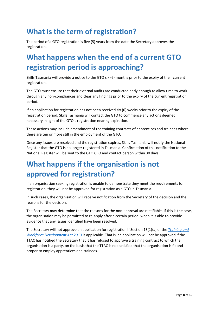# What is the term of registration?

The period of a GTO registration is five (5) years from the date the Secretary approves the registration.

# What happens when the end of a current GTO registration period is approaching?

Skills Tasmania will provide a notice to the GTO six (6) months prior to the expiry of their current registration.

The GTO must ensure that their external audits are conducted early enough to allow time to work through any non-compliances and clear any findings prior to the expiry of the current registration period.

If an application for registration has not been received six (6) weeks prior to the expiry of the registration period, Skills Tasmania will contact the GTO to commence any actions deemed necessary in light of the GTO's registration nearing expiration.

These actions may include amendment of the training contracts of apprentices and trainees where there are ten or more still in the employment of the GTO.

Once any issues are resolved and the registration expires, Skills Tasmania will notify the National Register that the GTO is no longer registered in Tasmania. Confirmation of this notification to the National Register will be sent to the GTO CEO and contact person within 30 days.

# What happens if the organisation is not approved for registration?

If an organisation seeking registration is unable to demonstrate they meet the requirements for registration, they will not be approved for registration as a GTO in Tasmania.

In such cases, the organisation will receive notification from the Secretary of the decision and the reasons for the decision.

The Secretary may determine that the reasons for the non-approval are rectifiable. If this is the case, the organisation may be permitted to re-apply after a certain period, when it is able to provide evidence that any issues identified have been resolved.

The Secretary will not approve an application for registration if Section 13(1)(a) of the *Training and* Workforce Development Act 2013 is applicable. That is, an application will not be approved if the TTAC has notified the Secretary that it has refused to approve a training contract to which the organisation is a party, on the basis that the TTAC is not satisfied that the organisation is fit and proper to employ apprentices and trainees.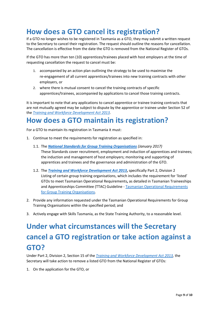### How does a GTO cancel its registration?

If a GTO no longer wishes to be registered in Tasmania as a GTO, they may submit a written request to the Secretary to cancel their registration. The request should outline the reasons for cancellation. The cancellation is effective from the date the GTO is removed from the National Register of GTOs.

If the GTO has more than ten (10) apprentices/trainees placed with host employers at the time of requesting cancellation the request to cancel must be:

- 1. accompanied by an action plan outlining the strategy to be used to maximise the re-engagement of all current apprentices/trainees into new training contracts with other employers, or
- 2. where there is mutual consent to cancel the training contracts of specific apprentices/trainees, accompanied by applications to cancel those training contracts.

It is important to note that any applications to cancel apprentice or trainee training contracts that are not mutually agreed may be subject to dispute by the apprentice or trainee under Section 52 of the Training and Workforce Development Act 2013.

### How does a GTO maintain its registration?

For a GTO to maintain its registration in Tasmania it must:

- 1. Continue to meet the requirements for registration as specified in:
	- 1.1. The National Standards for Group Training Organisations (January 2017) These Standards cover recruitment, employment and induction of apprentices and trainees; the induction and management of host employers; monitoring and supporting of apprentices and trainees and the governance and administration of the GTO.
	- 1.2. The Training and Workforce Development Act 2013, specifically Part 2, Division 2 Listing of certain group training organisations, which includes the requirement for 'listed' GTOs to meet Tasmanian Operational Requirements, as detailed in Tasmanian Traineeships and Apprenticeships Committee (TTAC) Guideline - Tasmanian Operational Requirements for Group Training Organisations.
- 2. Provide any information requested under the Tasmanian Operational Requirements for Group Training Organisations within the specified period; and
- 3. Actively engage with Skills Tasmania, as the State Training Authority, to a reasonable level.

# Under what circumstances will the Secretary cancel a GTO registration or take action against a GTO?

Under Part 2, Division 2, Section 15 of the Training and Workforce Development Act 2013, the Secretary will take action to remove a listed GTO from the National Register of GTOs:

1. On the application for the GTO, or